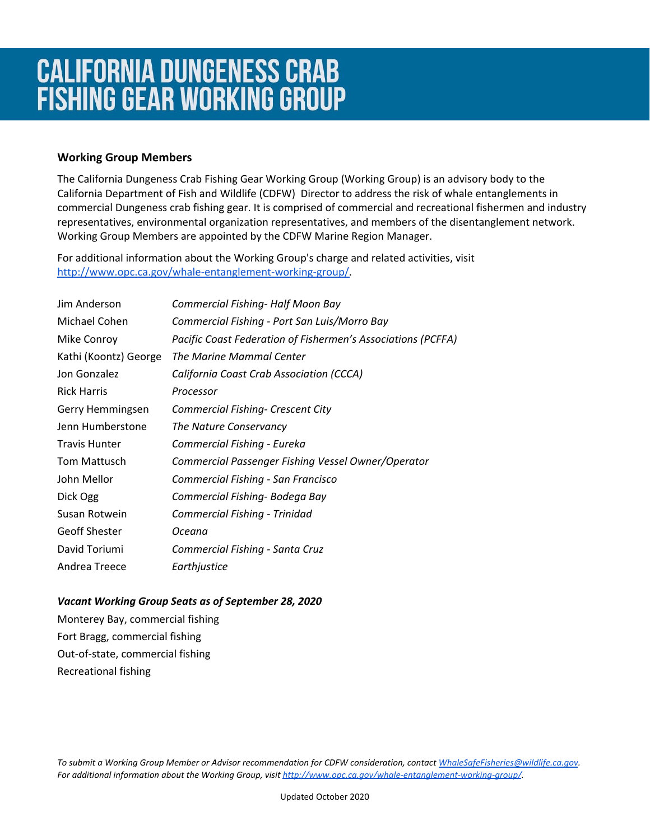## **Working Group Members**

The California Dungeness Crab Fishing Gear Working Group (Working Group) is an advisory body to the California Department of Fish and Wildlife (CDFW) Director to address the risk of whale entanglements in commercial Dungeness crab fishing gear. It is comprised of commercial and recreational fishermen and industry representatives, environmental organization representatives, and members of the disentanglement network. Working Group Members are appointed by the CDFW Marine Region Manager.

For additional information about the Working Group's charge and related activities, visit [http://www.opc.ca.gov/whale-entanglement-working-group/.](http://www.opc.ca.gov/whale-entanglement-working-group/)

| Jim Anderson          | Commercial Fishing- Half Moon Bay                            |
|-----------------------|--------------------------------------------------------------|
| Michael Cohen         | Commercial Fishing - Port San Luis/Morro Bay                 |
| Mike Conroy           | Pacific Coast Federation of Fishermen's Associations (PCFFA) |
| Kathi (Koontz) George | The Marine Mammal Center                                     |
| Jon Gonzalez          | California Coast Crab Association (CCCA)                     |
| <b>Rick Harris</b>    | Processor                                                    |
| Gerry Hemmingsen      | <b>Commercial Fishing- Crescent City</b>                     |
| Jenn Humberstone      | The Nature Conservancy                                       |
| <b>Travis Hunter</b>  | Commercial Fishing - Eureka                                  |
| <b>Tom Mattusch</b>   | Commercial Passenger Fishing Vessel Owner/Operator           |
| John Mellor           | Commercial Fishing - San Francisco                           |
| Dick Ogg              | Commercial Fishing- Bodega Bay                               |
| Susan Rotwein         | Commercial Fishing - Trinidad                                |
| <b>Geoff Shester</b>  | Oceana                                                       |
| David Toriumi         | Commercial Fishing - Santa Cruz                              |
| Andrea Treece         | Earthjustice                                                 |

## *Vacant Working Group Seats as of September 28, 2020*

Monterey Bay, commercial fishing Fort Bragg, commercial fishing Out-of-state, commercial fishing Recreational fishing

*To submit a Working Group Member or Advisor recommendation for CDFW consideration, contact [WhaleSafeFisheries@wildlife.ca.gov](mailto:WhaleSafeFisheries@wildlife.ca.gov). For additional information about the Working Group, visit<http://www.opc.ca.gov/whale-entanglement-working-group/>.*